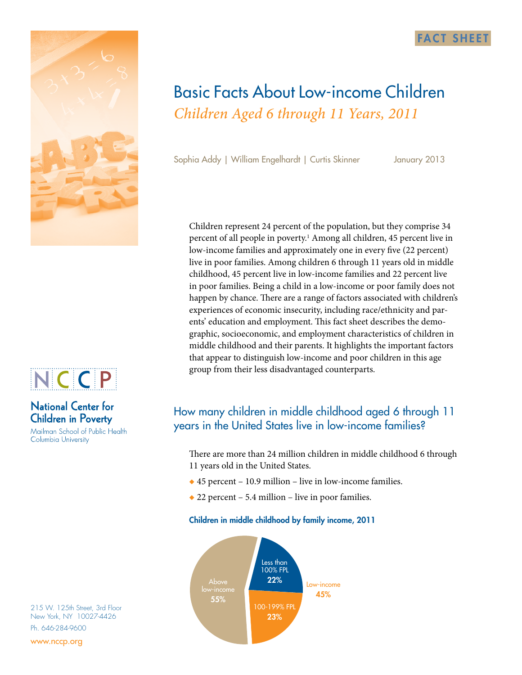



# **National Center for Children in Poverty**

Mailman School of Public Health Columbia University

215 W. 125th Street, 3rd Floor New York, NY 10027-4426 Ph. 646-284-9600

www.nccp.org

# Basic Facts About Low-income Children *Children Aged 6 through 11 Years, 2011*

Sophia Addy | William Engelhardt | Curtis Skinner January 2013

**FACT SHEET** 

Children represent 24 percent of the population, but they comprise 34 percent of all people in poverty.<sup>1</sup> Among all children, 45 percent live in low-income families and approximately one in every five (22 percent) live in poor families. Among children 6 through 11 years old in middle childhood, 45 percent live in low-income families and 22 percent live in poor families. Being a child in a low-income or poor family does not happen by chance. There are a range of factors associated with children's experiences of economic insecurity, including race/ethnicity and parents' education and employment. This fact sheet describes the demographic, socioeconomic, and employment characteristics of children in middle childhood and their parents. It highlights the important factors that appear to distinguish low-income and poor children in this age group from their less disadvantaged counterparts.

# How many children in middle childhood aged 6 through 11 years in the United States live in low-income families?

There are more than 24 million children in middle childhood 6 through 11 years old in the United States.

- $\triangle$  45 percent 10.9 million live in low-income families.
- $\triangle$  22 percent 5.4 million live in poor families.

### Children in middle childhood by family income, 2011

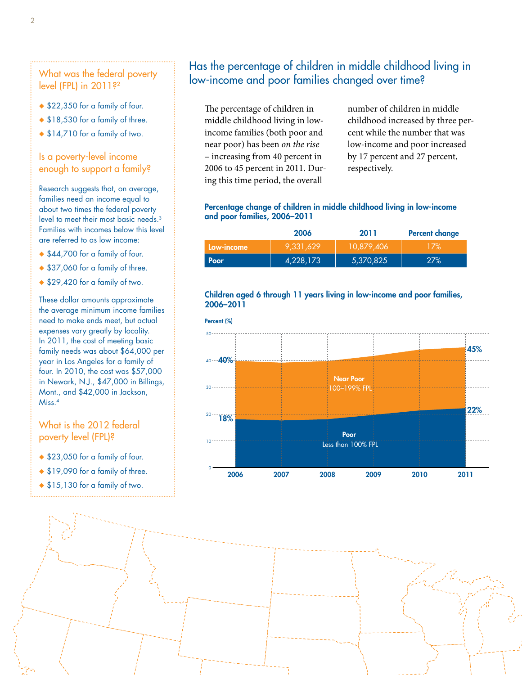What was the federal poverty level (FPL) in 2011?<sup>2</sup>

- ◆ \$22,350 for a family of four.
- ◆ \$18,530 for a family of three.
- $\triangle$  \$14,710 for a family of two.

### Is a poverty-level income enough to support a family?

Research suggests that, on average, families need an income equal to about two times the federal poverty level to meet their most basic needs.3 Families with incomes below this level are referred to as low income:

- ◆ \$44,700 for a family of four.
- ◆ \$37,060 for a family of three.
- $\triangle$  \$29,420 for a family of two.

These dollar amounts approximate the average minimum income families need to make ends meet, but actual expenses vary greatly by locality. In 2011, the cost of meeting basic family needs was about \$64,000 per year in Los Angeles for a family of four. In 2010, the cost was \$57,000 in Newark, N.J., \$47,000 in Billings, Mont., and \$42,000 in Jackson, Miss.4

### What is the 2012 federal poverty level (FPL)?

- ◆ \$23,050 for a family of four.
- ◆ \$19,090 for a family of three.
- ◆ \$15,130 for a family of two.

### Has the percentage of children in middle childhood living in low-income and poor families changed over time?

The percentage of children in middle childhood living in lowincome families (both poor and near poor) has been *on the rise*  – increasing from 40 percent in 2006 to 45 percent in 2011. During this time period, the overall

number of children in middle childhood increased by three percent while the number that was low-income and poor increased by 17 percent and 27 percent, respectively.

#### Percentage change of children in middle childhood living in low-income and poor families, 2006–2011

|            | 2006      | 2011       | <b>Percent change</b> |
|------------|-----------|------------|-----------------------|
| Low-income | 9.331.629 | 10.879.406 | 17%                   |
| Poor       | 4,228,173 | 5,370,825  | 27%                   |

#### Children aged 6 through 11 years living in low-income and poor families, 2006–2011

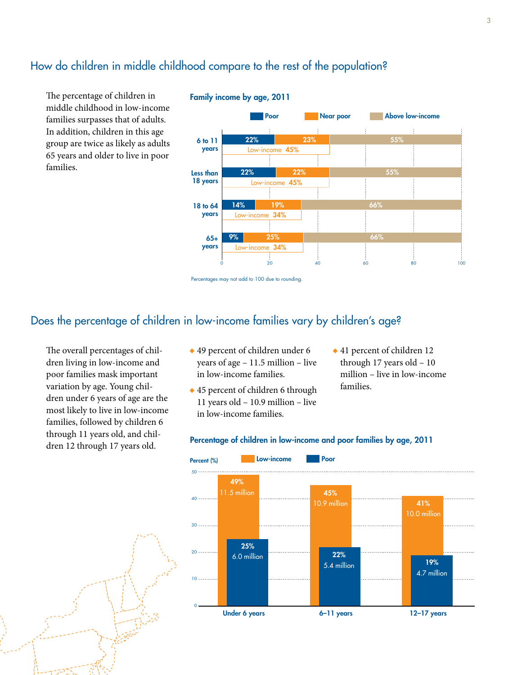### How do children in middle childhood compare to the rest of the population?

The percentage of children in middle childhood in low-income families surpasses that of adults. In addition, children in this age group are twice as likely as adults 65 years and older to live in poor families.



#### Family income by age, 2011

### Does the percentage of children in low-income families vary by children's age?

The overall percentages of children living in low-income and poor families mask important variation by age. Young children under 6 years of age are the most likely to live in low-income families, followed by children 6 through 11 years old, and children 12 through 17 years old.

- $\triangle$  49 percent of children under 6 years of age – 11.5 million – live in low-income families.
- $\triangle$  45 percent of children 6 through 11 years old – 10.9 million – live in low-income families.
- $\triangle$  41 percent of children 12 through 17 years old – 10 million – live in low-income families.



#### Percentage of children in low-income and poor families by age, 2011

Percentages may not add to 100 due to rounding.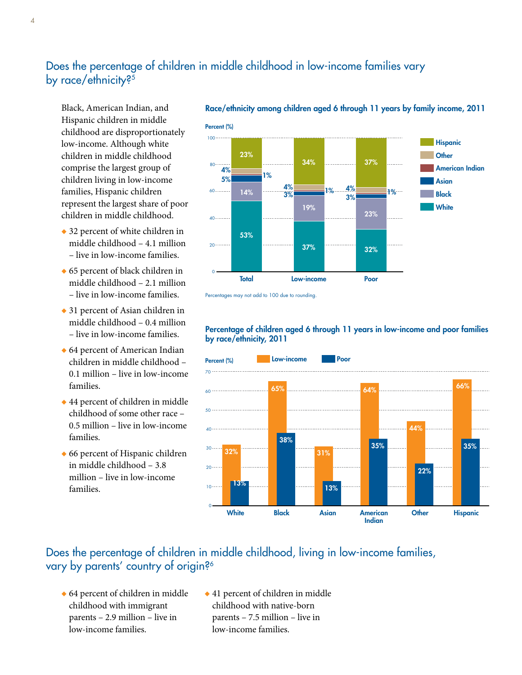# Does the percentage of children in middle childhood in low-income families vary by race/ethnicity?<sup>5</sup>

Black, American Indian, and Hispanic children in middle childhood are disproportionately low-income. Although white children in middle childhood comprise the largest group of children living in low-income families, Hispanic children represent the largest share of poor children in middle childhood.

- $\bullet$  32 percent of white children in middle childhood – 4.1 million – live in low-income families.
- $\triangle$  65 percent of black children in middle childhood – 2.1 million – live in low-income families.
- $\triangle$  31 percent of Asian children in middle childhood – 0.4 million – live in low-income families.
- $\triangle$  64 percent of American Indian children in middle childhood – 0.1 million – live in low-income families.
- $\triangle$  44 percent of children in middle childhood of some other race – 0.5 million – live in low-income families.
- $\triangle$  66 percent of Hispanic children in middle childhood – 3.8 million – live in low-income families.



Race/ethnicity among children aged 6 through 11 years by family income, 2011

Percentages may not add to 100 due to rounding.



#### Percentage of children aged 6 through 11 years in low-income and poor families by race/ethnicity, 2011

## Does the percentage of children in middle childhood, living in low-income families, vary by parents' country of origin?<sup>6</sup>

- $\triangle$  64 percent of children in middle childhood with immigrant parents – 2.9 million – live in low-income families.
- $\triangle$  41 percent of children in middle childhood with native-born parents – 7.5 million – live in low-income families.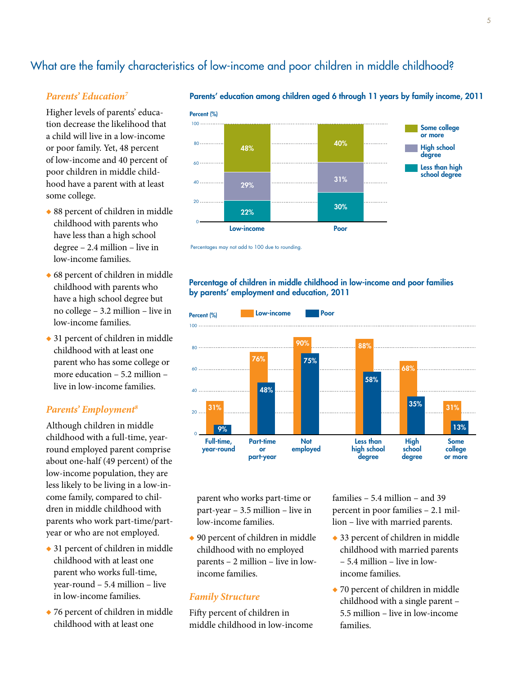# What are the family characteristics of low-income and poor children in middle childhood?

#### *Parents' Education7*

Higher levels of parents' education decrease the likelihood that a child will live in a low-income or poor family. Yet, 48 percent of low-income and 40 percent of poor children in middle childhood have a parent with at least some college.

- $\triangle$  88 percent of children in middle childhood with parents who have less than a high school degree – 2.4 million – live in low-income families.
- $\triangle$  68 percent of children in middle childhood with parents who have a high school degree but no college – 3.2 million – live in low-income families.
- $\triangle$  31 percent of children in middle childhood with at least one parent who has some college or more education – 5.2 million – live in low-income families.

### *Parents' Employment8*

Although children in middle childhood with a full-time, yearround employed parent comprise about one-half (49 percent) of the low-income population, they are less likely to be living in a low-income family, compared to children in middle childhood with parents who work part-time/partyear or who are not employed.

- $\triangle$  31 percent of children in middle childhood with at least one parent who works full-time, year-round – 5.4 million – live in low-income families.
- $\triangle$  76 percent of children in middle childhood with at least one



Parents' education among children aged 6 through 11 years by family income, 2011



#### Percentage of children in middle childhood in low-income and poor families by parents' employment and education, 2011



parent who works part-time or part-year – 3.5 million – live in low-income families.

 $\triangle$  90 percent of children in middle childhood with no employed parents – 2 million – live in lowincome families.

#### *Family Structure*

Fifty percent of children in middle childhood in low-income families – 5.4 million – and 39 percent in poor families – 2.1 million – live with married parents.

- $\triangle$  33 percent of children in middle childhood with married parents – 5.4 million – live in lowincome families.
- $\rightarrow$  70 percent of children in middle childhood with a single parent – 5.5 million – live in low-income families.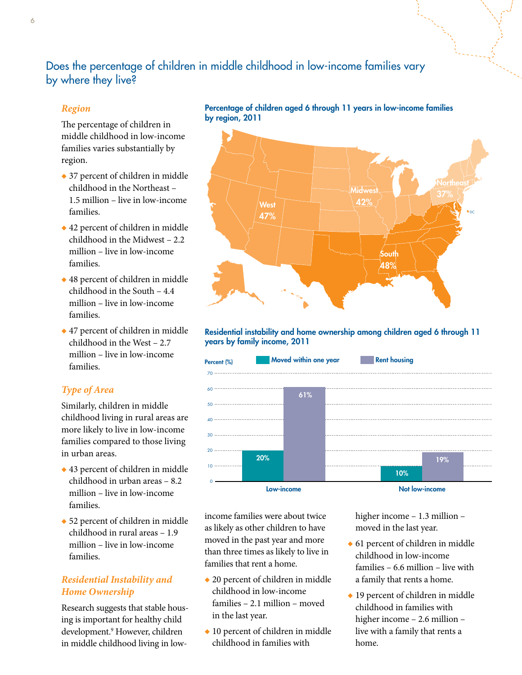# Does the percentage of children in middle childhood in low-income families vary by where they live?

### *Region*

The percentage of children in middle childhood in low-income families varies substantially by region.

- $\rightarrow$  37 percent of children in middle childhood in the Northeast – 1.5 million – live in low-income families.
- $\triangle$  42 percent of children in middle childhood in the Midwest – 2.2 million – live in low-income families.
- $\triangle$  48 percent of children in middle childhood in the South – 4.4 million – live in low-income families.
- $\triangle$  47 percent of children in middle childhood in the West – 2.7 million – live in low-income families.

### *Type of Area*

Similarly, children in middle childhood living in rural areas are more likely to live in low-income families compared to those living in urban areas.

- $\triangle$  43 percent of children in middle childhood in urban areas – 8.2 million – live in low-income families.
- $\bullet$  52 percent of children in middle childhood in rural areas – 1.9 million – live in low-income families.

### *Residential Instability and Home Ownership*

Research suggests that stable housing is important for healthy child development.9 However, children in middle childhood living in lowPercentage of children aged 6 through 11 years in low-income families by region, 2011



Residential instability and home ownership among children aged 6 through 11 years by family income, 2011



income families were about twice as likely as other children to have moved in the past year and more than three times as likely to live in families that rent a home.

- $\triangle$  20 percent of children in middle childhood in low-income families – 2.1 million – moved in the last year.
- $\bullet$  10 percent of children in middle childhood in families with

higher income – 1.3 million – moved in the last year.

- $\triangle$  61 percent of children in middle childhood in low-income families – 6.6 million – live with a family that rents a home.
- $\triangle$  19 percent of children in middle childhood in families with higher income – 2.6 million – live with a family that rents a home.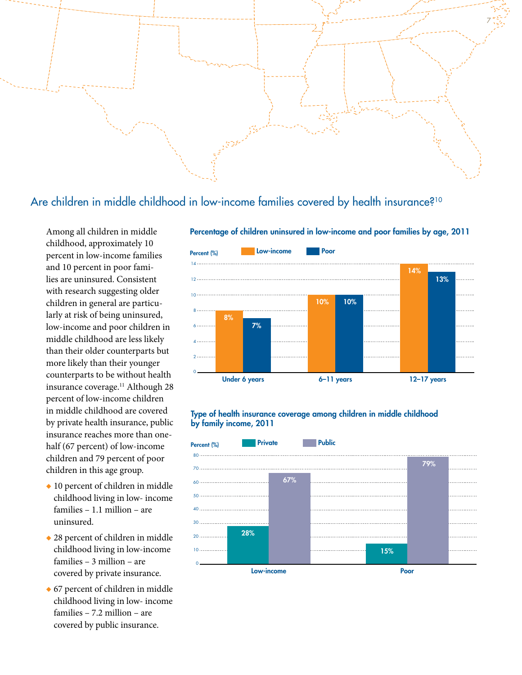

Are children in middle childhood in low-income families covered by health insurance?<sup>10</sup>

Among all children in middle childhood, approximately 10 percent in low-income families and 10 percent in poor families are uninsured. Consistent with research suggesting older children in general are particularly at risk of being uninsured, low-income and poor children in middle childhood are less likely than their older counterparts but more likely than their younger counterparts to be without health insurance coverage.<sup>11</sup> Although 28 percent of low-income children in middle childhood are covered by private health insurance, public insurance reaches more than onehalf (67 percent) of low-income children and 79 percent of poor children in this age group.

- $\bullet$  10 percent of children in middle childhood living in low- income families – 1.1 million – are uninsured.
- $\triangle$  28 percent of children in middle childhood living in low-income families – 3 million – are covered by private insurance.
- $\bullet$  67 percent of children in middle childhood living in low- income families – 7.2 million – are covered by public insurance.



#### Percentage of children uninsured in low-income and poor families by age, 2011

#### Type of health insurance coverage among children in middle childhood by family income, 2011